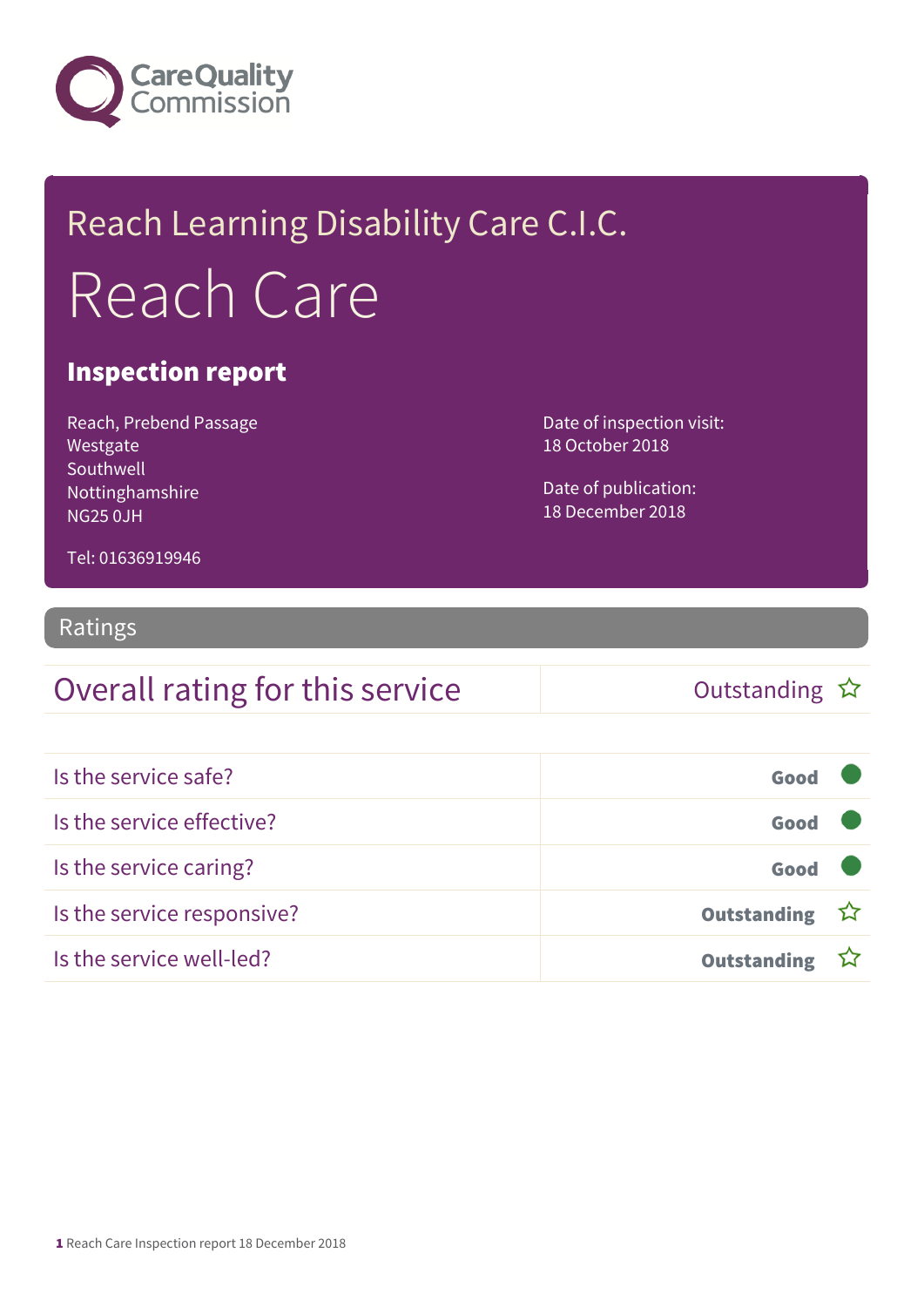

## Reach Learning Disability Care C.I.C. Reach Care

#### Inspection report

Reach, Prebend Passage Westgate Southwell Nottinghamshire NG25 0JH

Date of inspection visit: 18 October 2018

Date of publication: 18 December 2018

Tel: 01636919946

#### Ratings

#### Overall rating for this service and the Cutstanding  $\hat{x}$

| Is the service safe?       | Good               |  |
|----------------------------|--------------------|--|
| Is the service effective?  | Good               |  |
| Is the service caring?     | Good               |  |
| Is the service responsive? | Outstanding ☆      |  |
| Is the service well-led?   | <b>Outstanding</b> |  |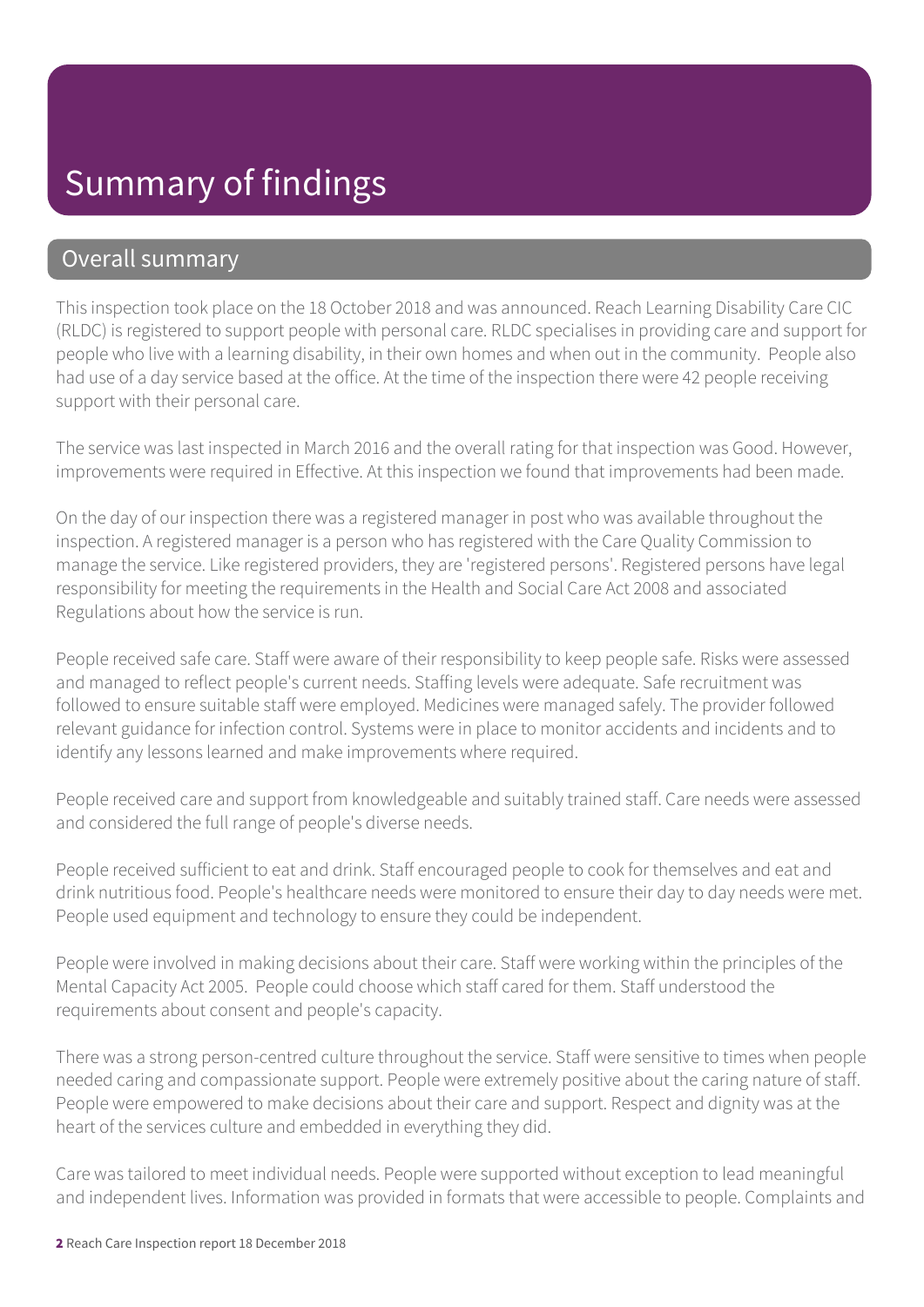#### Summary of findings

#### Overall summary

This inspection took place on the 18 October 2018 and was announced. Reach Learning Disability Care CIC (RLDC) is registered to support people with personal care. RLDC specialises in providing care and support for people who live with a learning disability, in their own homes and when out in the community. People also had use of a day service based at the office. At the time of the inspection there were 42 people receiving support with their personal care.

The service was last inspected in March 2016 and the overall rating for that inspection was Good. However, improvements were required in Effective. At this inspection we found that improvements had been made.

On the day of our inspection there was a registered manager in post who was available throughout the inspection. A registered manager is a person who has registered with the Care Quality Commission to manage the service. Like registered providers, they are 'registered persons'. Registered persons have legal responsibility for meeting the requirements in the Health and Social Care Act 2008 and associated Regulations about how the service is run.

People received safe care. Staff were aware of their responsibility to keep people safe. Risks were assessed and managed to reflect people's current needs. Staffing levels were adequate. Safe recruitment was followed to ensure suitable staff were employed. Medicines were managed safely. The provider followed relevant guidance for infection control. Systems were in place to monitor accidents and incidents and to identify any lessons learned and make improvements where required.

People received care and support from knowledgeable and suitably trained staff. Care needs were assessed and considered the full range of people's diverse needs.

People received sufficient to eat and drink. Staff encouraged people to cook for themselves and eat and drink nutritious food. People's healthcare needs were monitored to ensure their day to day needs were met. People used equipment and technology to ensure they could be independent.

People were involved in making decisions about their care. Staff were working within the principles of the Mental Capacity Act 2005. People could choose which staff cared for them. Staff understood the requirements about consent and people's capacity.

There was a strong person-centred culture throughout the service. Staff were sensitive to times when people needed caring and compassionate support. People were extremely positive about the caring nature of staff. People were empowered to make decisions about their care and support. Respect and dignity was at the heart of the services culture and embedded in everything they did.

Care was tailored to meet individual needs. People were supported without exception to lead meaningful and independent lives. Information was provided in formats that were accessible to people. Complaints and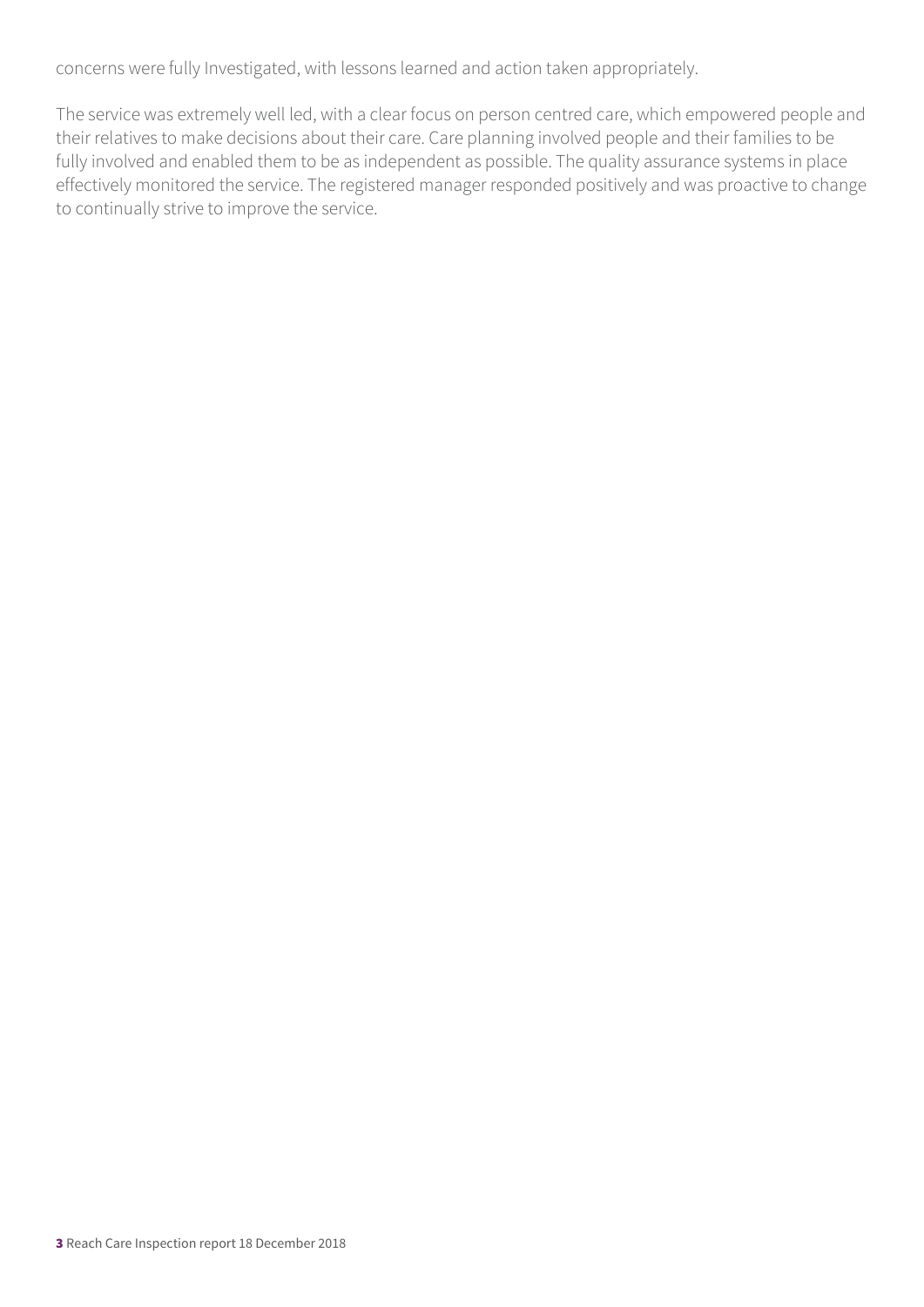concerns were fully Investigated, with lessons learned and action taken appropriately.

The service was extremely well led, with a clear focus on person centred care, which empowered people and their relatives to make decisions about their care. Care planning involved people and their families to be fully involved and enabled them to be as independent as possible. The quality assurance systems in place effectively monitored the service. The registered manager responded positively and was proactive to change to continually strive to improve the service.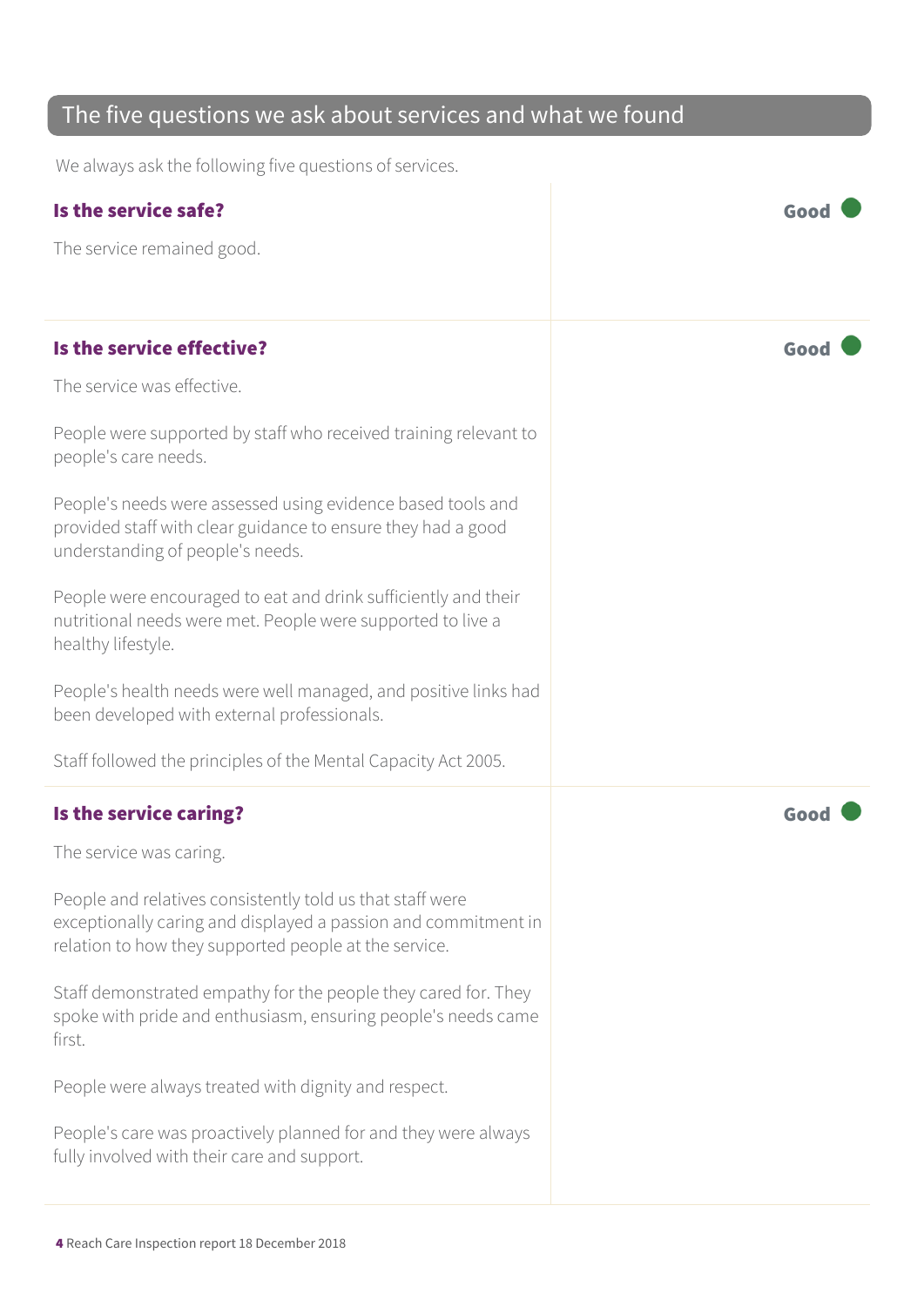| The five questions we ask about services and what we found                                                                                                                           |      |  |
|--------------------------------------------------------------------------------------------------------------------------------------------------------------------------------------|------|--|
| We always ask the following five questions of services.                                                                                                                              |      |  |
| Is the service safe?                                                                                                                                                                 | Good |  |
| The service remained good.                                                                                                                                                           |      |  |
|                                                                                                                                                                                      |      |  |
| Is the service effective?                                                                                                                                                            | Goo  |  |
| The service was effective.                                                                                                                                                           |      |  |
| People were supported by staff who received training relevant to<br>people's care needs.                                                                                             |      |  |
| People's needs were assessed using evidence based tools and<br>provided staff with clear guidance to ensure they had a good<br>understanding of people's needs.                      |      |  |
| People were encouraged to eat and drink sufficiently and their<br>nutritional needs were met. People were supported to live a<br>healthy lifestyle.                                  |      |  |
| People's health needs were well managed, and positive links had<br>been developed with external professionals.                                                                       |      |  |
| Staff followed the principles of the Mental Capacity Act 2005.                                                                                                                       |      |  |
| Is the service caring?                                                                                                                                                               |      |  |
| The service was caring.                                                                                                                                                              |      |  |
| People and relatives consistently told us that staff were<br>exceptionally caring and displayed a passion and commitment in<br>relation to how they supported people at the service. |      |  |
| Staff demonstrated empathy for the people they cared for. They<br>spoke with pride and enthusiasm, ensuring people's needs came<br>first.                                            |      |  |
| People were always treated with dignity and respect.                                                                                                                                 |      |  |
| People's care was proactively planned for and they were always<br>fully involved with their care and support.                                                                        |      |  |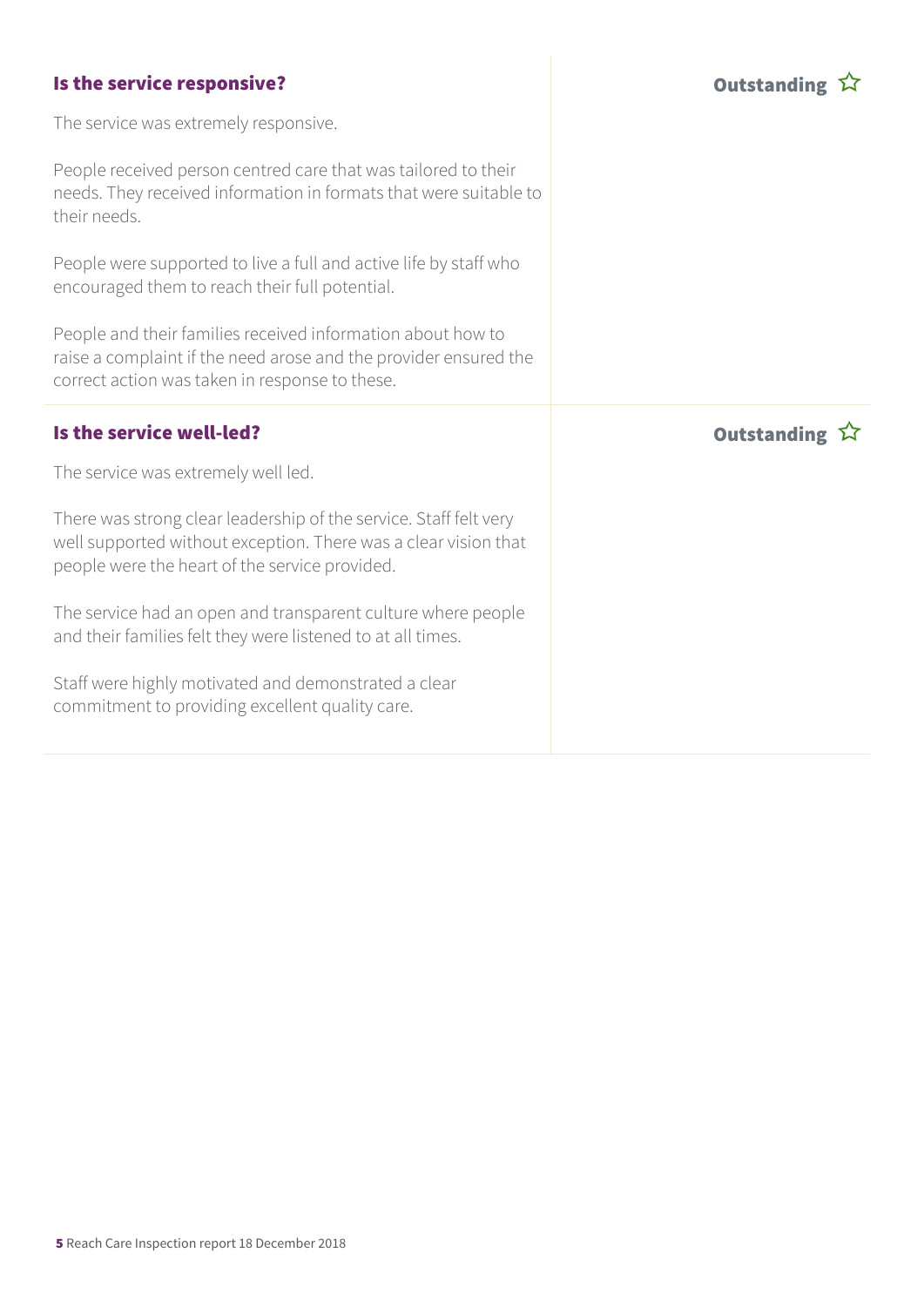| Is the service responsive?                                                                                                                                                             | Outstanding 公         |
|----------------------------------------------------------------------------------------------------------------------------------------------------------------------------------------|-----------------------|
| The service was extremely responsive.                                                                                                                                                  |                       |
| People received person centred care that was tailored to their<br>needs. They received information in formats that were suitable to<br>their needs.                                    |                       |
| People were supported to live a full and active life by staff who<br>encouraged them to reach their full potential.                                                                    |                       |
| People and their families received information about how to<br>raise a complaint if the need arose and the provider ensured the<br>correct action was taken in response to these.      |                       |
|                                                                                                                                                                                        |                       |
| Is the service well-led?                                                                                                                                                               | Outstanding $\hat{W}$ |
| The service was extremely well led.                                                                                                                                                    |                       |
| There was strong clear leadership of the service. Staff felt very<br>well supported without exception. There was a clear vision that<br>people were the heart of the service provided. |                       |
| The service had an open and transparent culture where people<br>and their families felt they were listened to at all times.                                                            |                       |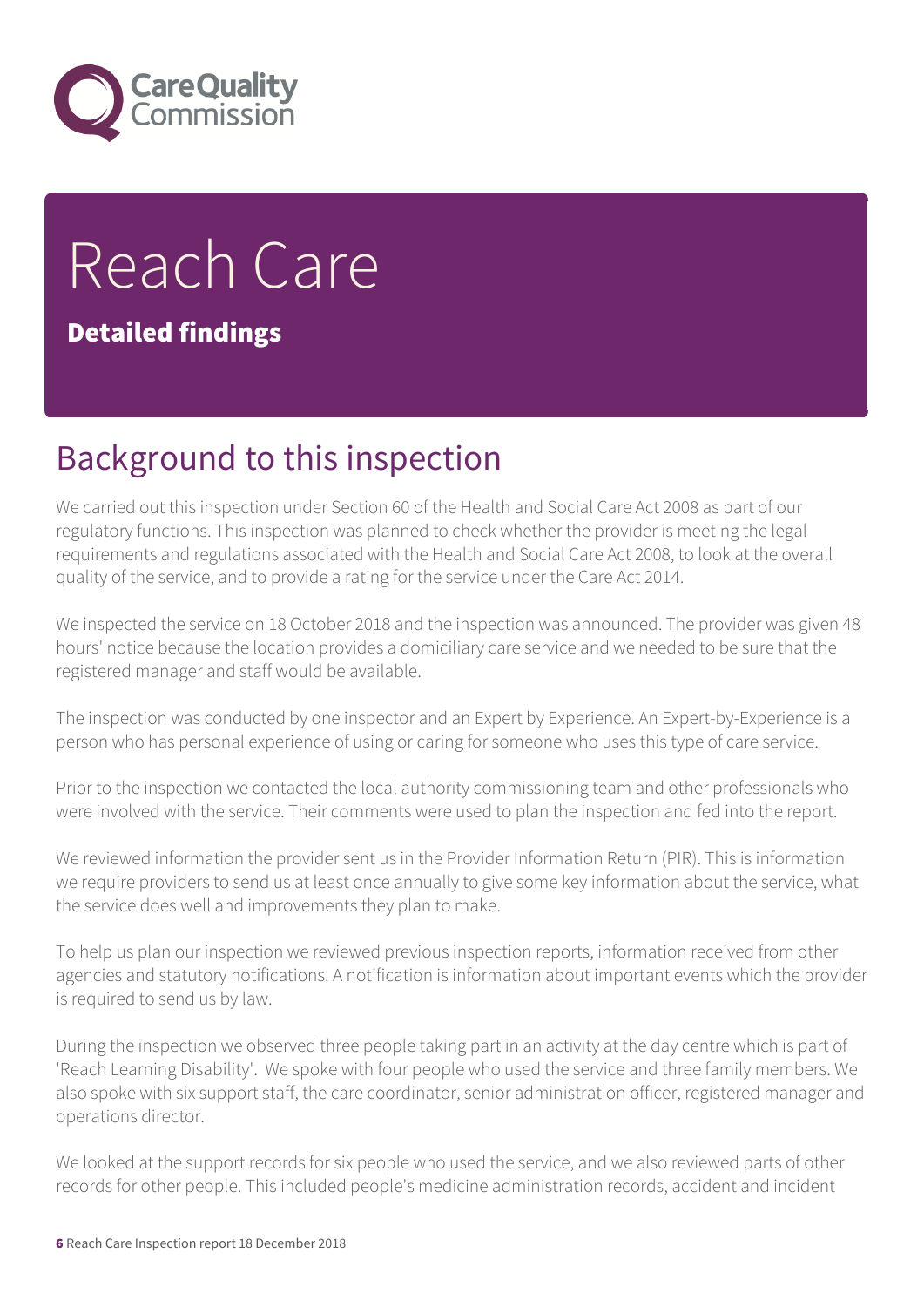

# Reach Care

Detailed findings

## Background to this inspection

We carried out this inspection under Section 60 of the Health and Social Care Act 2008 as part of our regulatory functions. This inspection was planned to check whether the provider is meeting the legal requirements and regulations associated with the Health and Social Care Act 2008, to look at the overall quality of the service, and to provide a rating for the service under the Care Act 2014.

We inspected the service on 18 October 2018 and the inspection was announced. The provider was given 48 hours' notice because the location provides a domiciliary care service and we needed to be sure that the registered manager and staff would be available.

The inspection was conducted by one inspector and an Expert by Experience. An Expert-by-Experience is a person who has personal experience of using or caring for someone who uses this type of care service.

Prior to the inspection we contacted the local authority commissioning team and other professionals who were involved with the service. Their comments were used to plan the inspection and fed into the report.

We reviewed information the provider sent us in the Provider Information Return (PIR). This is information we require providers to send us at least once annually to give some key information about the service, what the service does well and improvements they plan to make.

To help us plan our inspection we reviewed previous inspection reports, information received from other agencies and statutory notifications. A notification is information about important events which the provider is required to send us by law.

During the inspection we observed three people taking part in an activity at the day centre which is part of 'Reach Learning Disability'. We spoke with four people who used the service and three family members. We also spoke with six support staff, the care coordinator, senior administration officer, registered manager and operations director.

We looked at the support records for six people who used the service, and we also reviewed parts of other records for other people. This included people's medicine administration records, accident and incident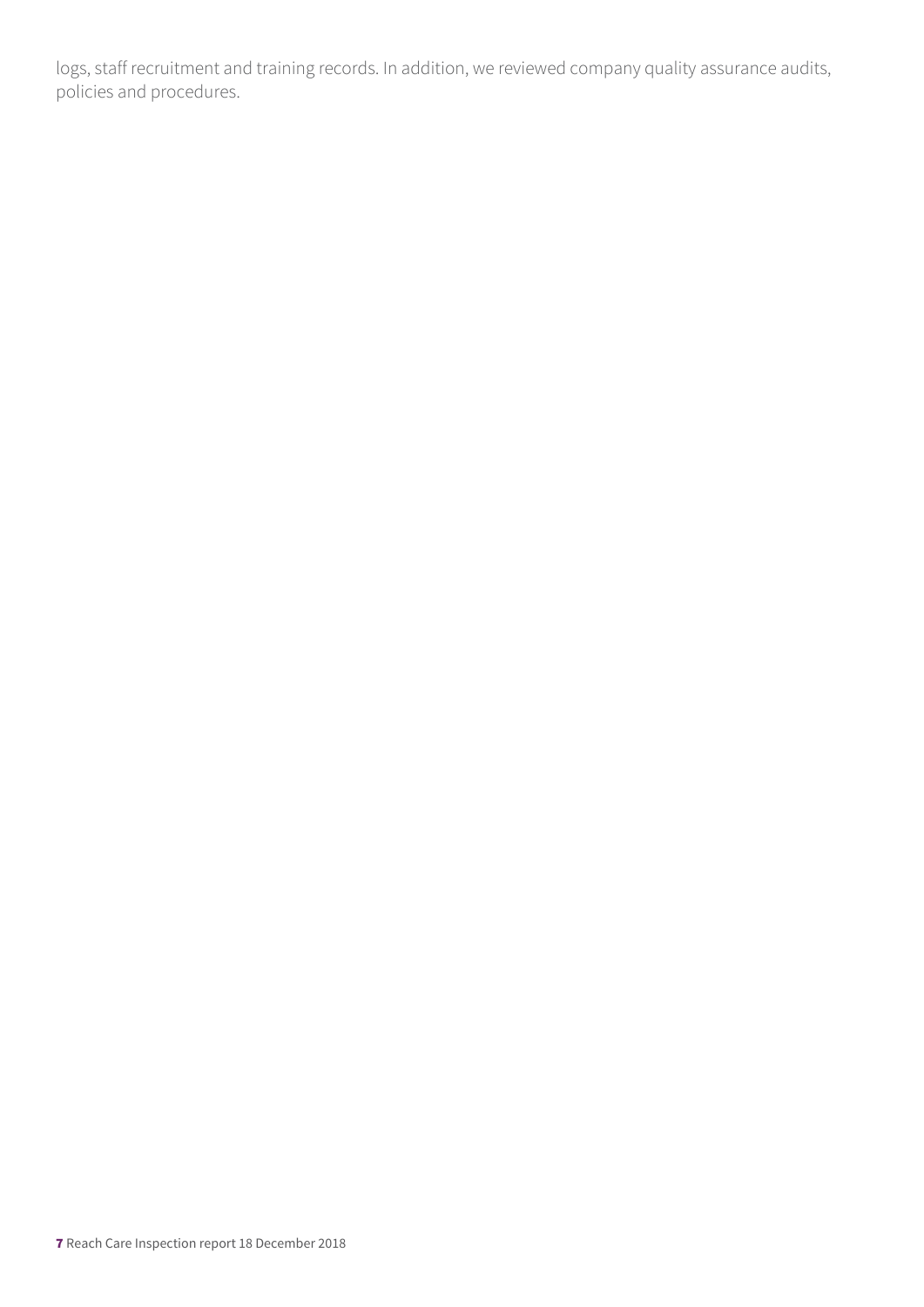logs, staff recruitment and training records. In addition, we reviewed company quality assurance audits, policies and procedures.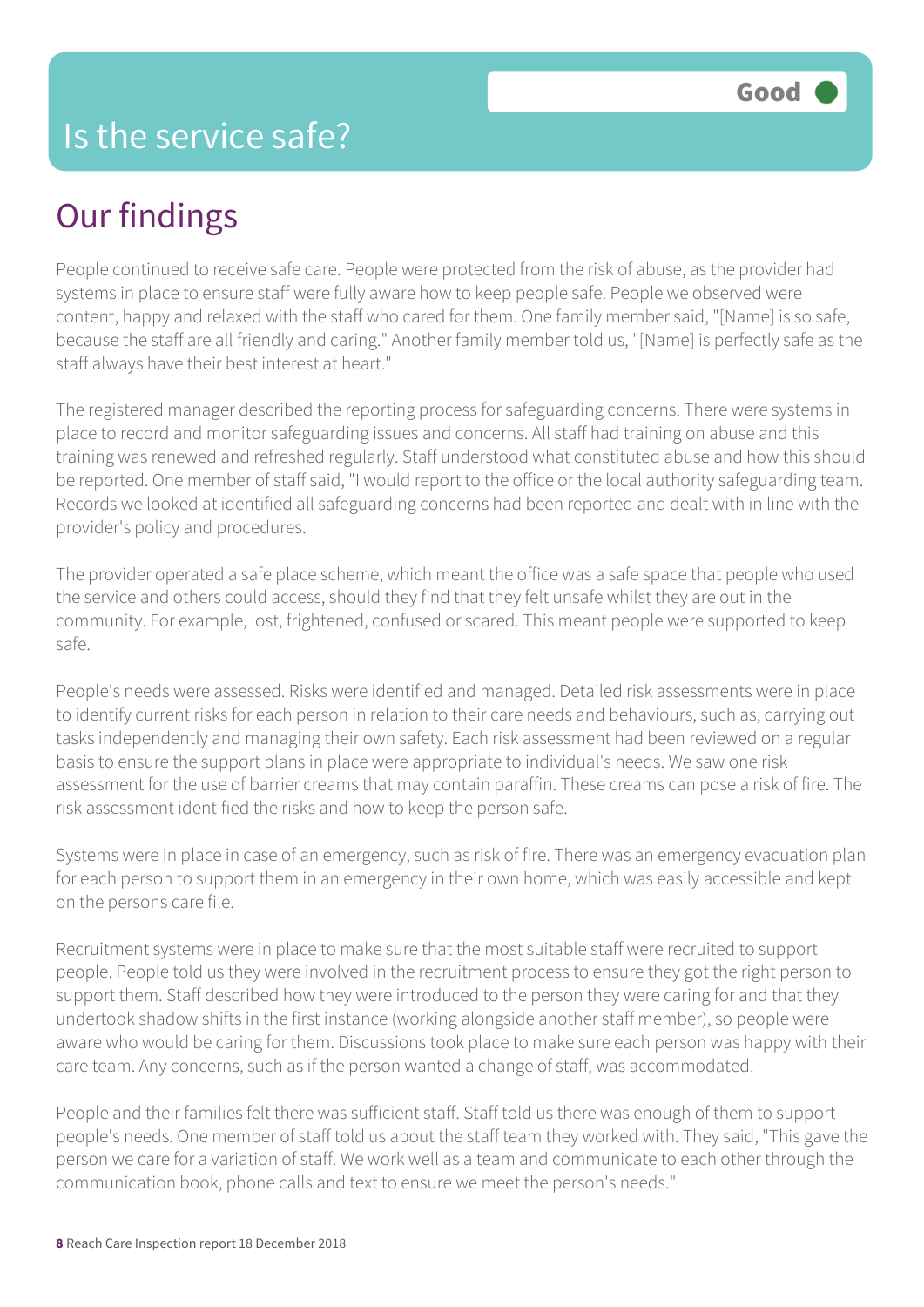## Our findings

People continued to receive safe care. People were protected from the risk of abuse, as the provider had systems in place to ensure staff were fully aware how to keep people safe. People we observed were content, happy and relaxed with the staff who cared for them. One family member said, "[Name] is so safe, because the staff are all friendly and caring." Another family member told us, "[Name] is perfectly safe as the staff always have their best interest at heart."

The registered manager described the reporting process for safeguarding concerns. There were systems in place to record and monitor safeguarding issues and concerns. All staff had training on abuse and this training was renewed and refreshed regularly. Staff understood what constituted abuse and how this should be reported. One member of staff said, "I would report to the office or the local authority safeguarding team. Records we looked at identified all safeguarding concerns had been reported and dealt with in line with the provider's policy and procedures.

The provider operated a safe place scheme, which meant the office was a safe space that people who used the service and others could access, should they find that they felt unsafe whilst they are out in the community. For example, lost, frightened, confused or scared. This meant people were supported to keep safe.

People's needs were assessed. Risks were identified and managed. Detailed risk assessments were in place to identify current risks for each person in relation to their care needs and behaviours, such as, carrying out tasks independently and managing their own safety. Each risk assessment had been reviewed on a regular basis to ensure the support plans in place were appropriate to individual's needs. We saw one risk assessment for the use of barrier creams that may contain paraffin. These creams can pose a risk of fire. The risk assessment identified the risks and how to keep the person safe.

Systems were in place in case of an emergency, such as risk of fire. There was an emergency evacuation plan for each person to support them in an emergency in their own home, which was easily accessible and kept on the persons care file.

Recruitment systems were in place to make sure that the most suitable staff were recruited to support people. People told us they were involved in the recruitment process to ensure they got the right person to support them. Staff described how they were introduced to the person they were caring for and that they undertook shadow shifts in the first instance (working alongside another staff member), so people were aware who would be caring for them. Discussions took place to make sure each person was happy with their care team. Any concerns, such as if the person wanted a change of staff, was accommodated.

People and their families felt there was sufficient staff. Staff told us there was enough of them to support people's needs. One member of staff told us about the staff team they worked with. They said, "This gave the person we care for a variation of staff. We work well as a team and communicate to each other through the communication book, phone calls and text to ensure we meet the person's needs."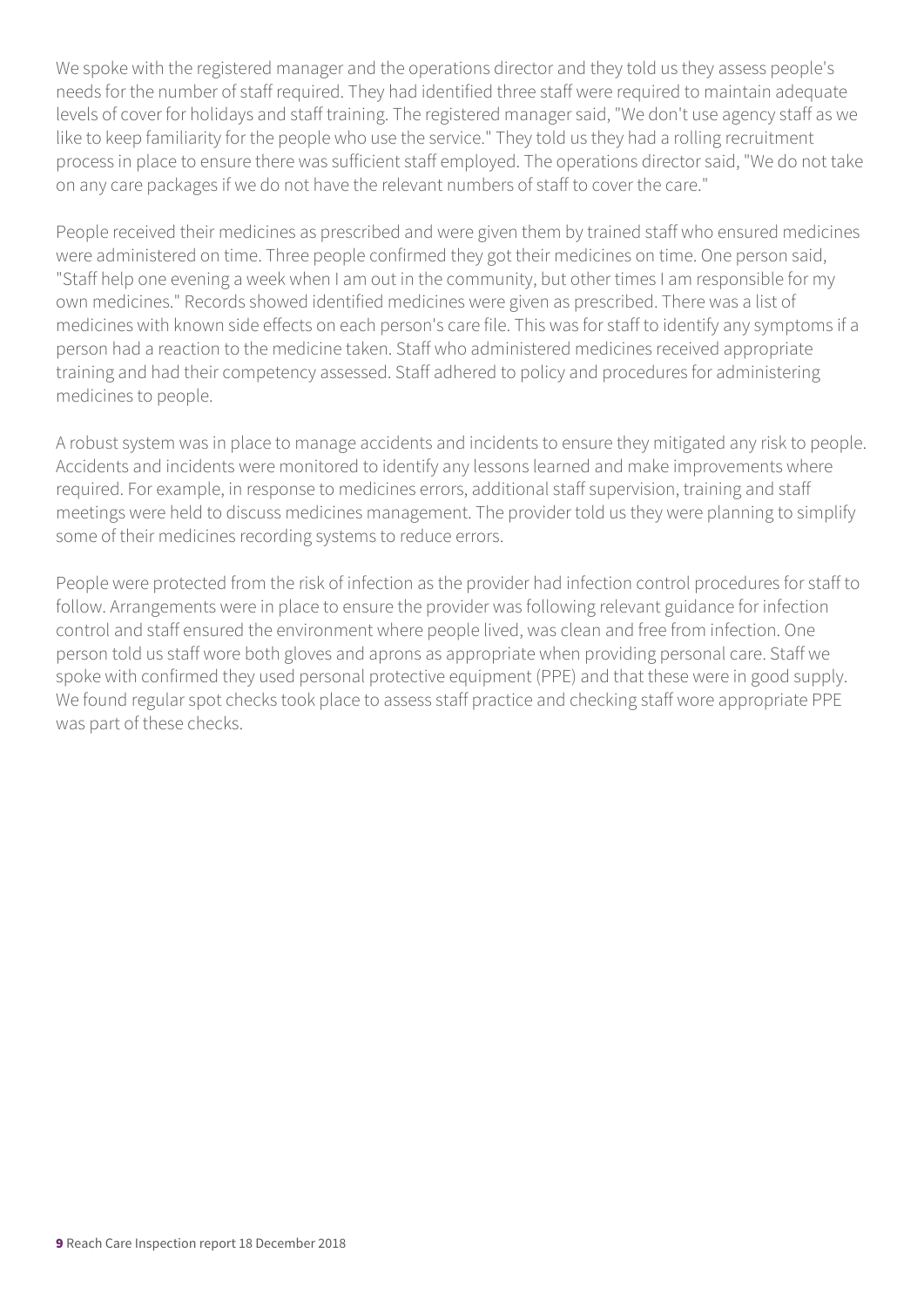We spoke with the registered manager and the operations director and they told us they assess people's needs for the number of staff required. They had identified three staff were required to maintain adequate levels of cover for holidays and staff training. The registered manager said, "We don't use agency staff as we like to keep familiarity for the people who use the service." They told us they had a rolling recruitment process in place to ensure there was sufficient staff employed. The operations director said, "We do not take on any care packages if we do not have the relevant numbers of staff to cover the care."

People received their medicines as prescribed and were given them by trained staff who ensured medicines were administered on time. Three people confirmed they got their medicines on time. One person said, "Staff help one evening a week when I am out in the community, but other times I am responsible for my own medicines." Records showed identified medicines were given as prescribed. There was a list of medicines with known side effects on each person's care file. This was for staff to identify any symptoms if a person had a reaction to the medicine taken. Staff who administered medicines received appropriate training and had their competency assessed. Staff adhered to policy and procedures for administering medicines to people.

A robust system was in place to manage accidents and incidents to ensure they mitigated any risk to people. Accidents and incidents were monitored to identify any lessons learned and make improvements where required. For example, in response to medicines errors, additional staff supervision, training and staff meetings were held to discuss medicines management. The provider told us they were planning to simplify some of their medicines recording systems to reduce errors.

People were protected from the risk of infection as the provider had infection control procedures for staff to follow. Arrangements were in place to ensure the provider was following relevant guidance for infection control and staff ensured the environment where people lived, was clean and free from infection. One person told us staff wore both gloves and aprons as appropriate when providing personal care. Staff we spoke with confirmed they used personal protective equipment (PPE) and that these were in good supply. We found regular spot checks took place to assess staff practice and checking staff wore appropriate PPE was part of these checks.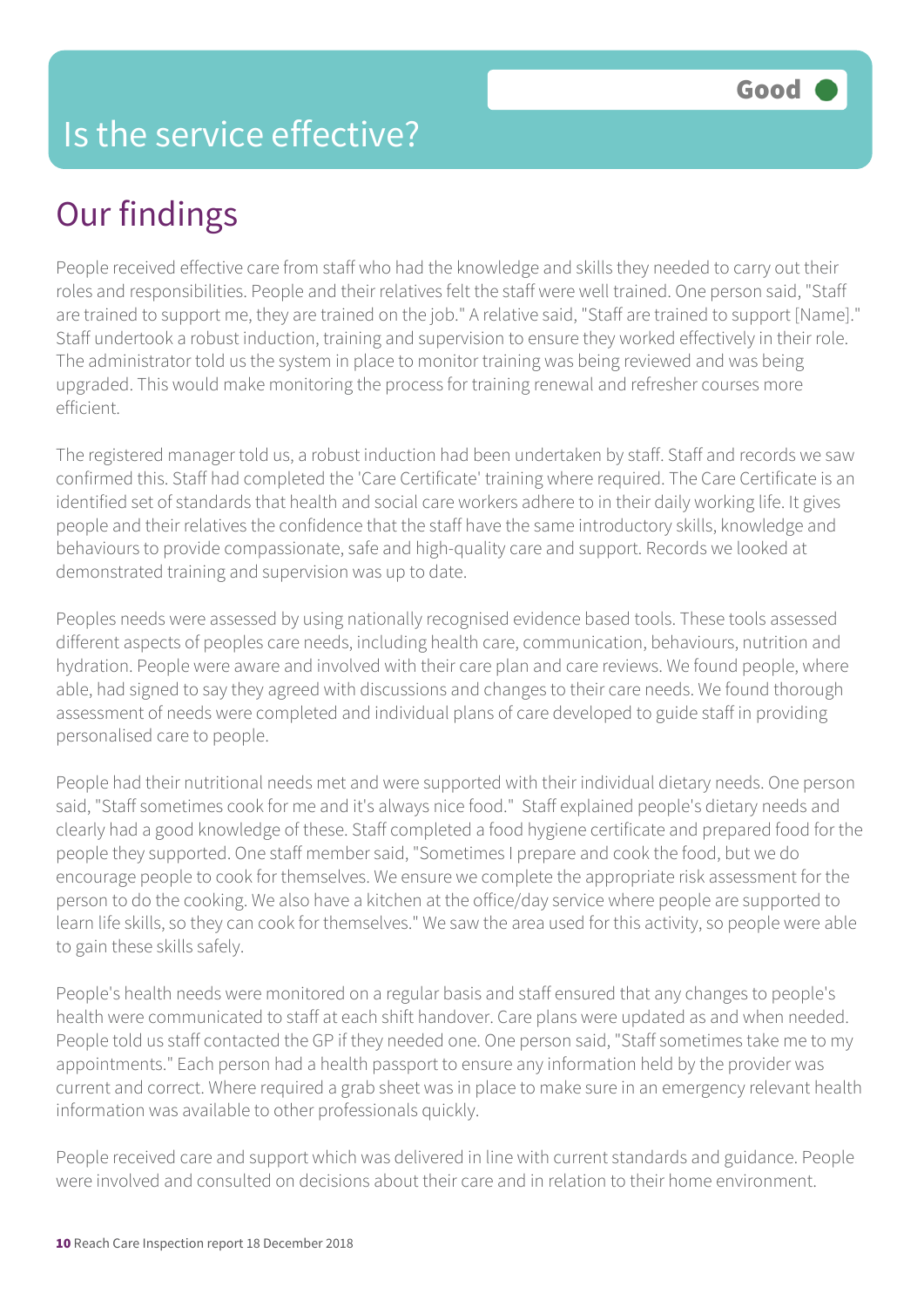### Our findings

People received effective care from staff who had the knowledge and skills they needed to carry out their roles and responsibilities. People and their relatives felt the staff were well trained. One person said, "Staff are trained to support me, they are trained on the job." A relative said, "Staff are trained to support [Name]." Staff undertook a robust induction, training and supervision to ensure they worked effectively in their role. The administrator told us the system in place to monitor training was being reviewed and was being upgraded. This would make monitoring the process for training renewal and refresher courses more efficient.

The registered manager told us, a robust induction had been undertaken by staff. Staff and records we saw confirmed this. Staff had completed the 'Care Certificate' training where required. The Care Certificate is an identified set of standards that health and social care workers adhere to in their daily working life. It gives people and their relatives the confidence that the staff have the same introductory skills, knowledge and behaviours to provide compassionate, safe and high-quality care and support. Records we looked at demonstrated training and supervision was up to date.

Peoples needs were assessed by using nationally recognised evidence based tools. These tools assessed different aspects of peoples care needs, including health care, communication, behaviours, nutrition and hydration. People were aware and involved with their care plan and care reviews. We found people, where able, had signed to say they agreed with discussions and changes to their care needs. We found thorough assessment of needs were completed and individual plans of care developed to guide staff in providing personalised care to people.

People had their nutritional needs met and were supported with their individual dietary needs. One person said, "Staff sometimes cook for me and it's always nice food." Staff explained people's dietary needs and clearly had a good knowledge of these. Staff completed a food hygiene certificate and prepared food for the people they supported. One staff member said, "Sometimes I prepare and cook the food, but we do encourage people to cook for themselves. We ensure we complete the appropriate risk assessment for the person to do the cooking. We also have a kitchen at the office/day service where people are supported to learn life skills, so they can cook for themselves." We saw the area used for this activity, so people were able to gain these skills safely.

People's health needs were monitored on a regular basis and staff ensured that any changes to people's health were communicated to staff at each shift handover. Care plans were updated as and when needed. People told us staff contacted the GP if they needed one. One person said, "Staff sometimes take me to my appointments." Each person had a health passport to ensure any information held by the provider was current and correct. Where required a grab sheet was in place to make sure in an emergency relevant health information was available to other professionals quickly.

People received care and support which was delivered in line with current standards and guidance. People were involved and consulted on decisions about their care and in relation to their home environment.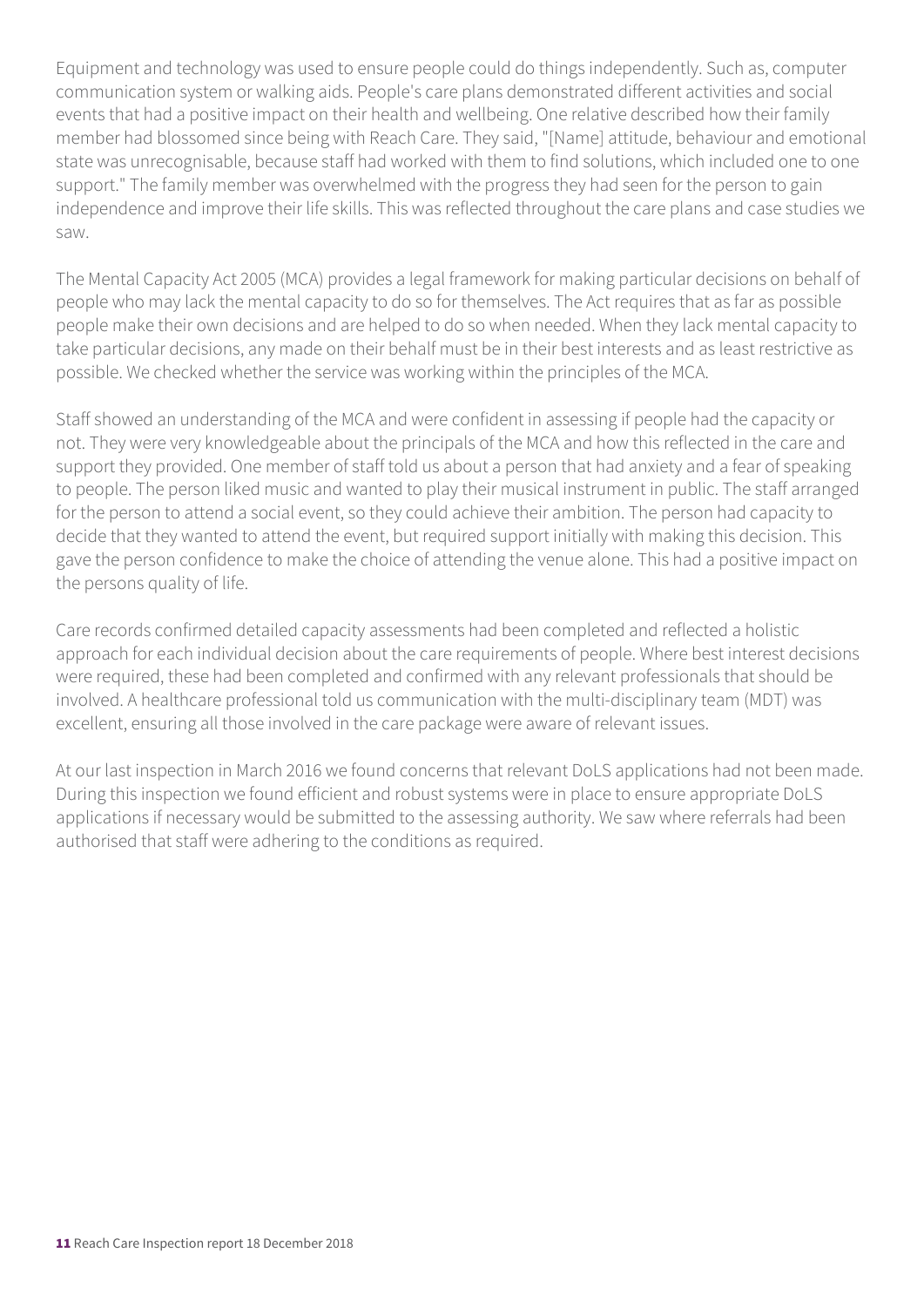Equipment and technology was used to ensure people could do things independently. Such as, computer communication system or walking aids. People's care plans demonstrated different activities and social events that had a positive impact on their health and wellbeing. One relative described how their family member had blossomed since being with Reach Care. They said, "[Name] attitude, behaviour and emotional state was unrecognisable, because staff had worked with them to find solutions, which included one to one support." The family member was overwhelmed with the progress they had seen for the person to gain independence and improve their life skills. This was reflected throughout the care plans and case studies we saw.

The Mental Capacity Act 2005 (MCA) provides a legal framework for making particular decisions on behalf of people who may lack the mental capacity to do so for themselves. The Act requires that as far as possible people make their own decisions and are helped to do so when needed. When they lack mental capacity to take particular decisions, any made on their behalf must be in their best interests and as least restrictive as possible. We checked whether the service was working within the principles of the MCA.

Staff showed an understanding of the MCA and were confident in assessing if people had the capacity or not. They were very knowledgeable about the principals of the MCA and how this reflected in the care and support they provided. One member of staff told us about a person that had anxiety and a fear of speaking to people. The person liked music and wanted to play their musical instrument in public. The staff arranged for the person to attend a social event, so they could achieve their ambition. The person had capacity to decide that they wanted to attend the event, but required support initially with making this decision. This gave the person confidence to make the choice of attending the venue alone. This had a positive impact on the persons quality of life.

Care records confirmed detailed capacity assessments had been completed and reflected a holistic approach for each individual decision about the care requirements of people. Where best interest decisions were required, these had been completed and confirmed with any relevant professionals that should be involved. A healthcare professional told us communication with the multi-disciplinary team (MDT) was excellent, ensuring all those involved in the care package were aware of relevant issues.

At our last inspection in March 2016 we found concerns that relevant DoLS applications had not been made. During this inspection we found efficient and robust systems were in place to ensure appropriate DoLS applications if necessary would be submitted to the assessing authority. We saw where referrals had been authorised that staff were adhering to the conditions as required.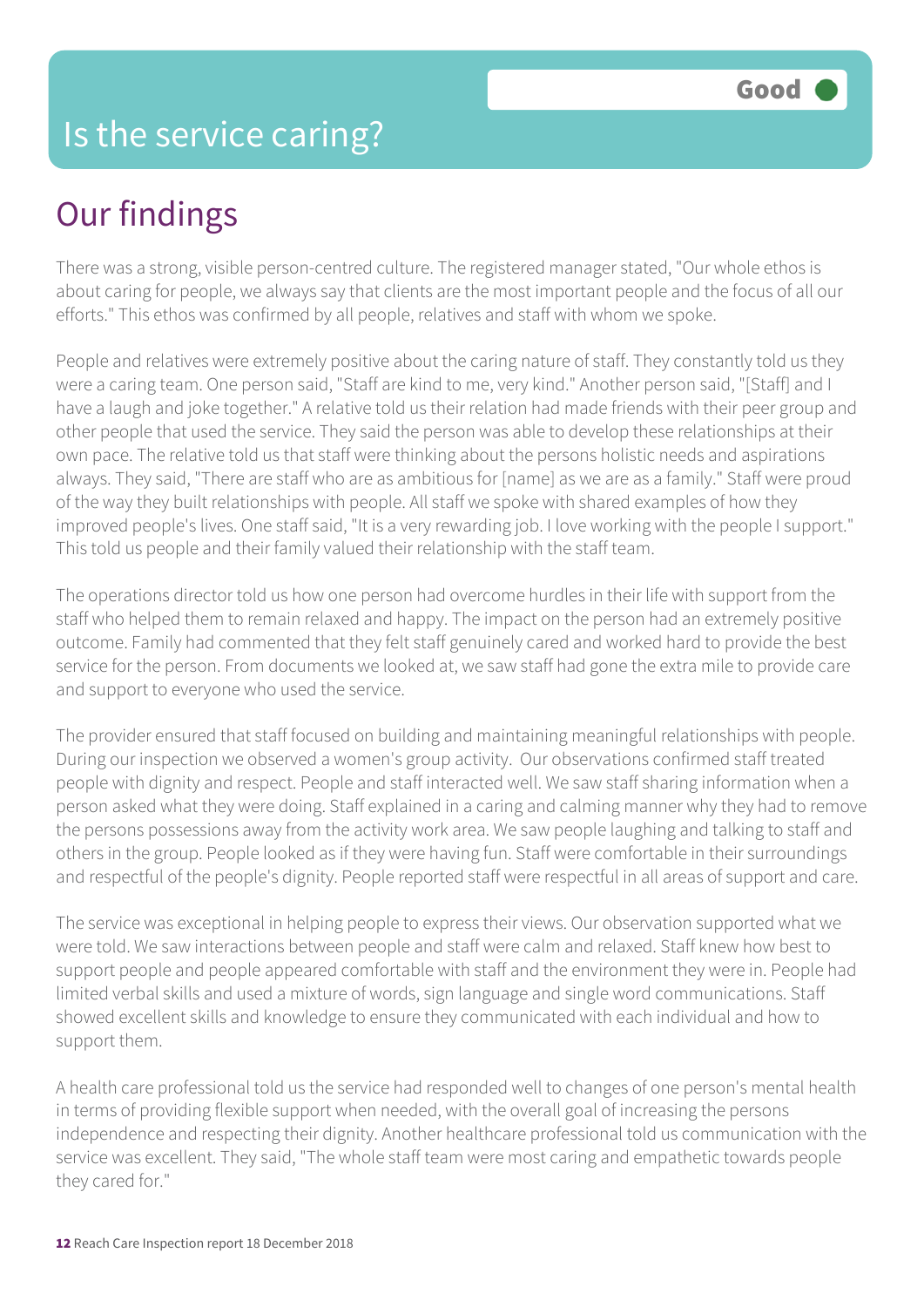## Our findings

There was a strong, visible person-centred culture. The registered manager stated, "Our whole ethos is about caring for people, we always say that clients are the most important people and the focus of all our efforts." This ethos was confirmed by all people, relatives and staff with whom we spoke.

People and relatives were extremely positive about the caring nature of staff. They constantly told us they were a caring team. One person said, "Staff are kind to me, very kind." Another person said, "[Staff] and I have a laugh and joke together." A relative told us their relation had made friends with their peer group and other people that used the service. They said the person was able to develop these relationships at their own pace. The relative told us that staff were thinking about the persons holistic needs and aspirations always. They said, "There are staff who are as ambitious for [name] as we are as a family." Staff were proud of the way they built relationships with people. All staff we spoke with shared examples of how they improved people's lives. One staff said, "It is a very rewarding job. I love working with the people I support." This told us people and their family valued their relationship with the staff team.

The operations director told us how one person had overcome hurdles in their life with support from the staff who helped them to remain relaxed and happy. The impact on the person had an extremely positive outcome. Family had commented that they felt staff genuinely cared and worked hard to provide the best service for the person. From documents we looked at, we saw staff had gone the extra mile to provide care and support to everyone who used the service.

The provider ensured that staff focused on building and maintaining meaningful relationships with people. During our inspection we observed a women's group activity. Our observations confirmed staff treated people with dignity and respect. People and staff interacted well. We saw staff sharing information when a person asked what they were doing. Staff explained in a caring and calming manner why they had to remove the persons possessions away from the activity work area. We saw people laughing and talking to staff and others in the group. People looked as if they were having fun. Staff were comfortable in their surroundings and respectful of the people's dignity. People reported staff were respectful in all areas of support and care.

The service was exceptional in helping people to express their views. Our observation supported what we were told. We saw interactions between people and staff were calm and relaxed. Staff knew how best to support people and people appeared comfortable with staff and the environment they were in. People had limited verbal skills and used a mixture of words, sign language and single word communications. Staff showed excellent skills and knowledge to ensure they communicated with each individual and how to support them.

A health care professional told us the service had responded well to changes of one person's mental health in terms of providing flexible support when needed, with the overall goal of increasing the persons independence and respecting their dignity. Another healthcare professional told us communication with the service was excellent. They said, "The whole staff team were most caring and empathetic towards people they cared for."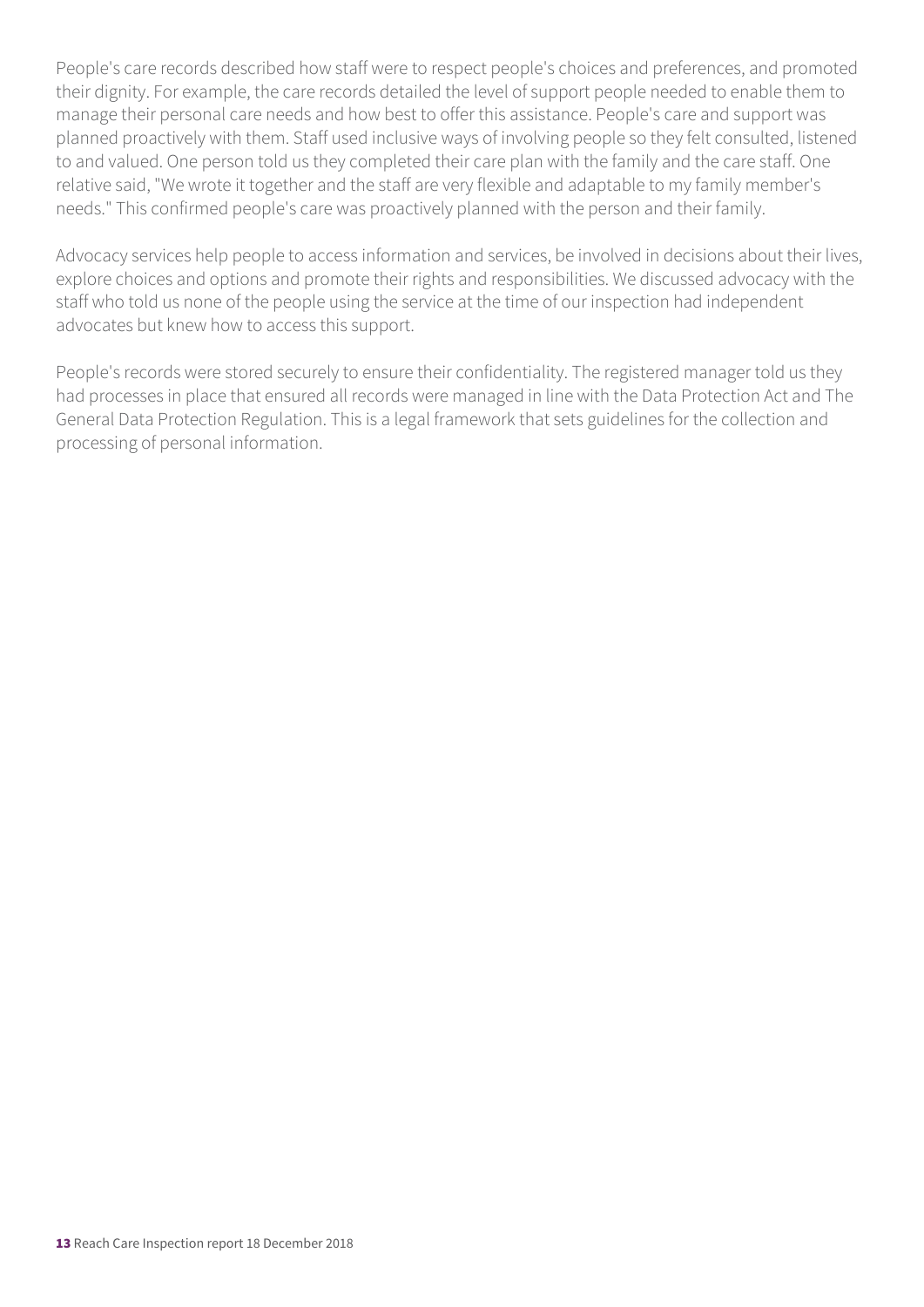People's care records described how staff were to respect people's choices and preferences, and promoted their dignity. For example, the care records detailed the level of support people needed to enable them to manage their personal care needs and how best to offer this assistance. People's care and support was planned proactively with them. Staff used inclusive ways of involving people so they felt consulted, listened to and valued. One person told us they completed their care plan with the family and the care staff. One relative said, "We wrote it together and the staff are very flexible and adaptable to my family member's needs." This confirmed people's care was proactively planned with the person and their family.

Advocacy services help people to access information and services, be involved in decisions about their lives, explore choices and options and promote their rights and responsibilities. We discussed advocacy with the staff who told us none of the people using the service at the time of our inspection had independent advocates but knew how to access this support.

People's records were stored securely to ensure their confidentiality. The registered manager told us they had processes in place that ensured all records were managed in line with the Data Protection Act and The General Data Protection Regulation. This is a legal framework that sets guidelines for the collection and processing of personal information.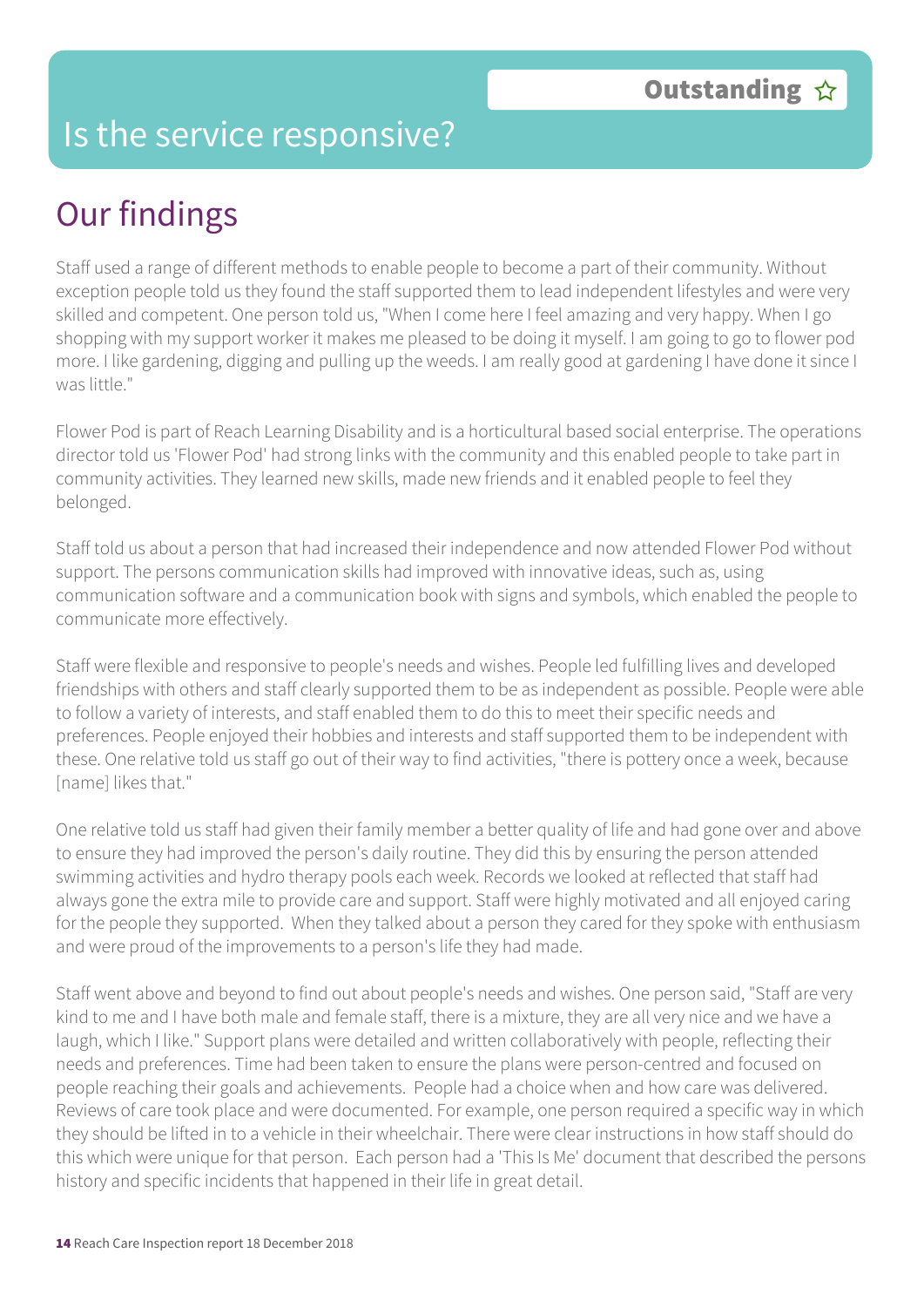#### Is the service responsive?

## Our findings

Staff used a range of different methods to enable people to become a part of their community. Without exception people told us they found the staff supported them to lead independent lifestyles and were very skilled and competent. One person told us, "When I come here I feel amazing and very happy. When I go shopping with my support worker it makes me pleased to be doing it myself. I am going to go to flower pod more. I like gardening, digging and pulling up the weeds. I am really good at gardening I have done it since I was little."

Flower Pod is part of Reach Learning Disability and is a horticultural based social enterprise. The operations director told us 'Flower Pod' had strong links with the community and this enabled people to take part in community activities. They learned new skills, made new friends and it enabled people to feel they belonged.

Staff told us about a person that had increased their independence and now attended Flower Pod without support. The persons communication skills had improved with innovative ideas, such as, using communication software and a communication book with signs and symbols, which enabled the people to communicate more effectively.

Staff were flexible and responsive to people's needs and wishes. People led fulfilling lives and developed friendships with others and staff clearly supported them to be as independent as possible. People were able to follow a variety of interests, and staff enabled them to do this to meet their specific needs and preferences. People enjoyed their hobbies and interests and staff supported them to be independent with these. One relative told us staff go out of their way to find activities, "there is pottery once a week, because [name] likes that."

One relative told us staff had given their family member a better quality of life and had gone over and above to ensure they had improved the person's daily routine. They did this by ensuring the person attended swimming activities and hydro therapy pools each week. Records we looked at reflected that staff had always gone the extra mile to provide care and support. Staff were highly motivated and all enjoyed caring for the people they supported. When they talked about a person they cared for they spoke with enthusiasm and were proud of the improvements to a person's life they had made.

Staff went above and beyond to find out about people's needs and wishes. One person said, "Staff are very kind to me and I have both male and female staff, there is a mixture, they are all very nice and we have a laugh, which I like." Support plans were detailed and written collaboratively with people, reflecting their needs and preferences. Time had been taken to ensure the plans were person-centred and focused on people reaching their goals and achievements. People had a choice when and how care was delivered. Reviews of care took place and were documented. For example, one person required a specific way in which they should be lifted in to a vehicle in their wheelchair. There were clear instructions in how staff should do this which were unique for that person. Each person had a 'This Is Me' document that described the persons history and specific incidents that happened in their life in great detail.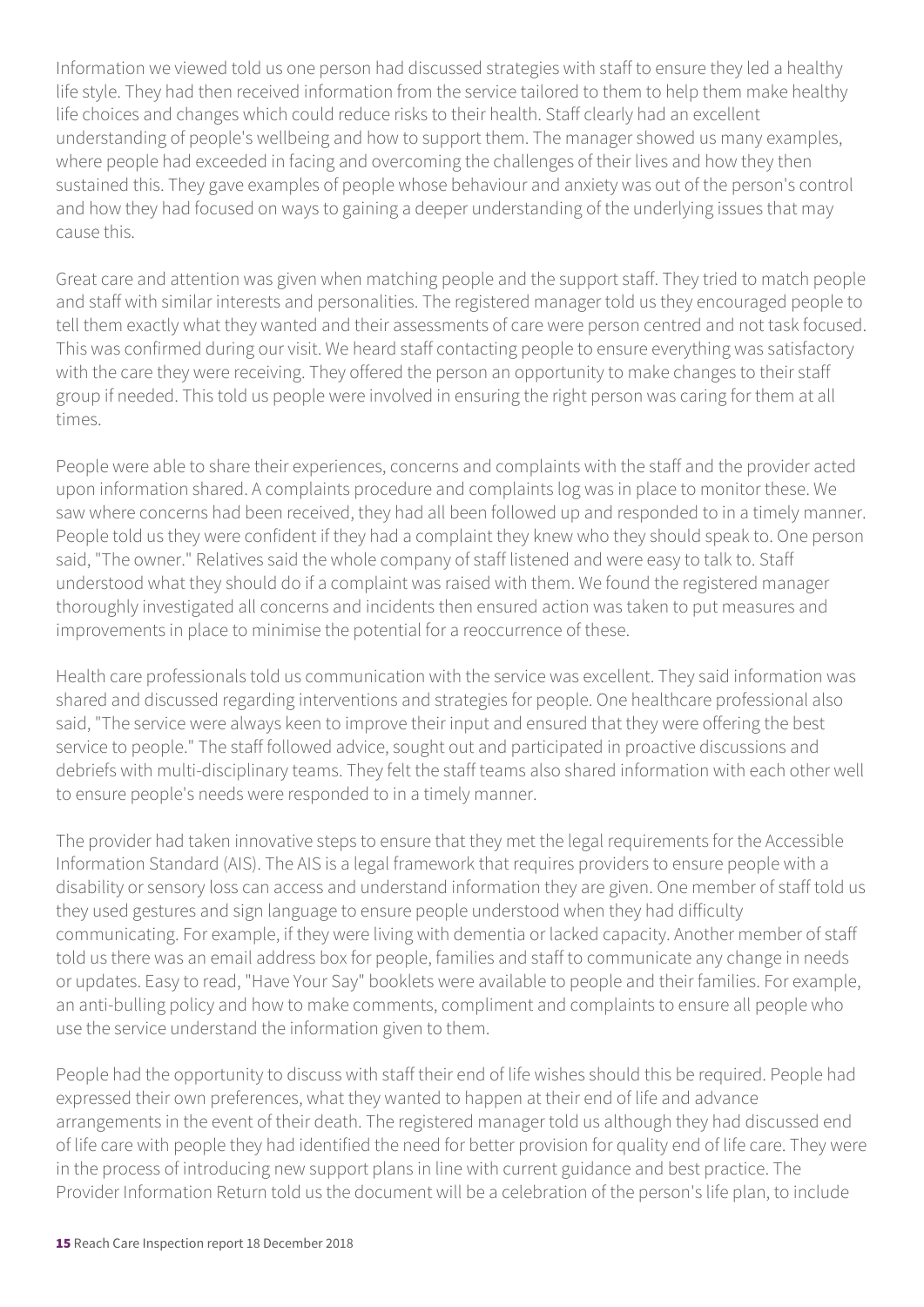Information we viewed told us one person had discussed strategies with staff to ensure they led a healthy life style. They had then received information from the service tailored to them to help them make healthy life choices and changes which could reduce risks to their health. Staff clearly had an excellent understanding of people's wellbeing and how to support them. The manager showed us many examples, where people had exceeded in facing and overcoming the challenges of their lives and how they then sustained this. They gave examples of people whose behaviour and anxiety was out of the person's control and how they had focused on ways to gaining a deeper understanding of the underlying issues that may cause this.

Great care and attention was given when matching people and the support staff. They tried to match people and staff with similar interests and personalities. The registered manager told us they encouraged people to tell them exactly what they wanted and their assessments of care were person centred and not task focused. This was confirmed during our visit. We heard staff contacting people to ensure everything was satisfactory with the care they were receiving. They offered the person an opportunity to make changes to their staff group if needed. This told us people were involved in ensuring the right person was caring for them at all times.

People were able to share their experiences, concerns and complaints with the staff and the provider acted upon information shared. A complaints procedure and complaints log was in place to monitor these. We saw where concerns had been received, they had all been followed up and responded to in a timely manner. People told us they were confident if they had a complaint they knew who they should speak to. One person said, "The owner." Relatives said the whole company of staff listened and were easy to talk to. Staff understood what they should do if a complaint was raised with them. We found the registered manager thoroughly investigated all concerns and incidents then ensured action was taken to put measures and improvements in place to minimise the potential for a reoccurrence of these.

Health care professionals told us communication with the service was excellent. They said information was shared and discussed regarding interventions and strategies for people. One healthcare professional also said, "The service were always keen to improve their input and ensured that they were offering the best service to people." The staff followed advice, sought out and participated in proactive discussions and debriefs with multi-disciplinary teams. They felt the staff teams also shared information with each other well to ensure people's needs were responded to in a timely manner.

The provider had taken innovative steps to ensure that they met the legal requirements for the Accessible Information Standard (AIS). The AIS is a legal framework that requires providers to ensure people with a disability or sensory loss can access and understand information they are given. One member of staff told us they used gestures and sign language to ensure people understood when they had difficulty communicating. For example, if they were living with dementia or lacked capacity. Another member of staff told us there was an email address box for people, families and staff to communicate any change in needs or updates. Easy to read, "Have Your Say" booklets were available to people and their families. For example, an anti-bulling policy and how to make comments, compliment and complaints to ensure all people who use the service understand the information given to them.

People had the opportunity to discuss with staff their end of life wishes should this be required. People had expressed their own preferences, what they wanted to happen at their end of life and advance arrangements in the event of their death. The registered manager told us although they had discussed end of life care with people they had identified the need for better provision for quality end of life care. They were in the process of introducing new support plans in line with current guidance and best practice. The Provider Information Return told us the document will be a celebration of the person's life plan, to include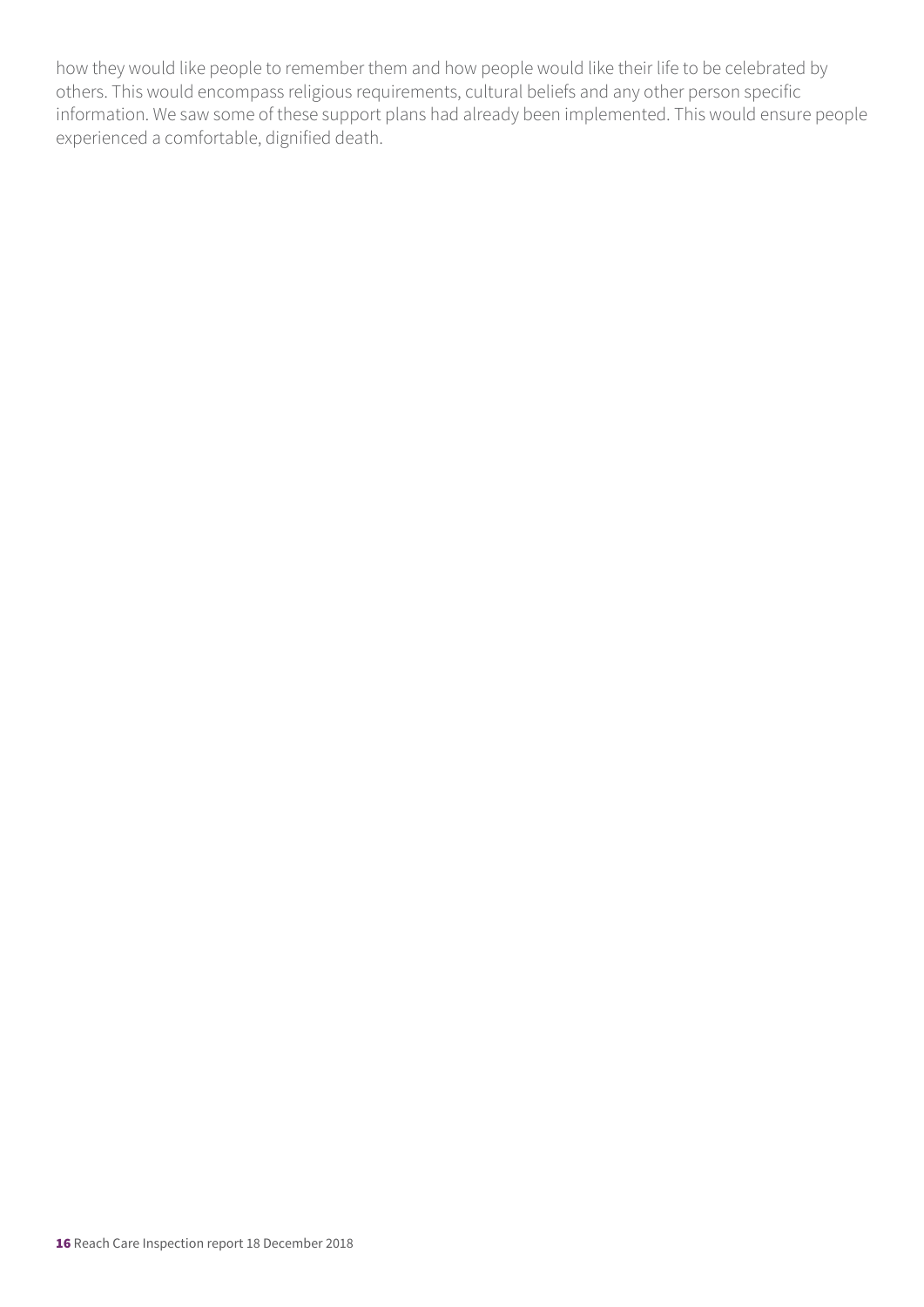how they would like people to remember them and how people would like their life to be celebrated by others. This would encompass religious requirements, cultural beliefs and any other person specific information. We saw some of these support plans had already been implemented. This would ensure people experienced a comfortable, dignified death.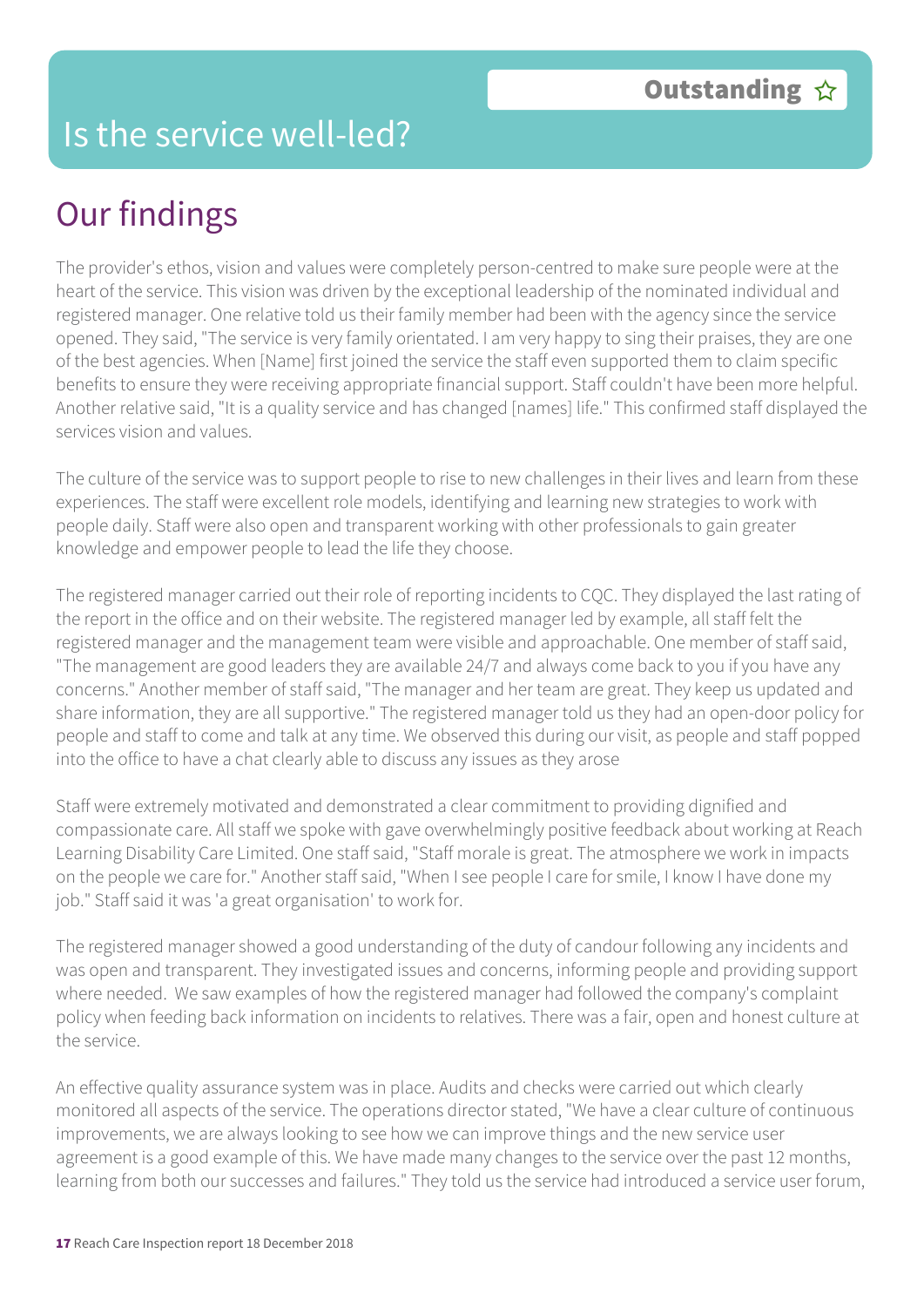#### Is the service well-led?

## Our findings

The provider's ethos, vision and values were completely person-centred to make sure people were at the heart of the service. This vision was driven by the exceptional leadership of the nominated individual and registered manager. One relative told us their family member had been with the agency since the service opened. They said, "The service is very family orientated. I am very happy to sing their praises, they are one of the best agencies. When [Name] first joined the service the staff even supported them to claim specific benefits to ensure they were receiving appropriate financial support. Staff couldn't have been more helpful. Another relative said, "It is a quality service and has changed [names] life." This confirmed staff displayed the services vision and values.

The culture of the service was to support people to rise to new challenges in their lives and learn from these experiences. The staff were excellent role models, identifying and learning new strategies to work with people daily. Staff were also open and transparent working with other professionals to gain greater knowledge and empower people to lead the life they choose.

The registered manager carried out their role of reporting incidents to CQC. They displayed the last rating of the report in the office and on their website. The registered manager led by example, all staff felt the registered manager and the management team were visible and approachable. One member of staff said, "The management are good leaders they are available 24/7 and always come back to you if you have any concerns." Another member of staff said, "The manager and her team are great. They keep us updated and share information, they are all supportive." The registered manager told us they had an open-door policy for people and staff to come and talk at any time. We observed this during our visit, as people and staff popped into the office to have a chat clearly able to discuss any issues as they arose

Staff were extremely motivated and demonstrated a clear commitment to providing dignified and compassionate care. All staff we spoke with gave overwhelmingly positive feedback about working at Reach Learning Disability Care Limited. One staff said, "Staff morale is great. The atmosphere we work in impacts on the people we care for." Another staff said, "When I see people I care for smile, I know I have done my job." Staff said it was 'a great organisation' to work for.

The registered manager showed a good understanding of the duty of candour following any incidents and was open and transparent. They investigated issues and concerns, informing people and providing support where needed. We saw examples of how the registered manager had followed the company's complaint policy when feeding back information on incidents to relatives. There was a fair, open and honest culture at the service.

An effective quality assurance system was in place. Audits and checks were carried out which clearly monitored all aspects of the service. The operations director stated, "We have a clear culture of continuous improvements, we are always looking to see how we can improve things and the new service user agreement is a good example of this. We have made many changes to the service over the past 12 months, learning from both our successes and failures." They told us the service had introduced a service user forum,